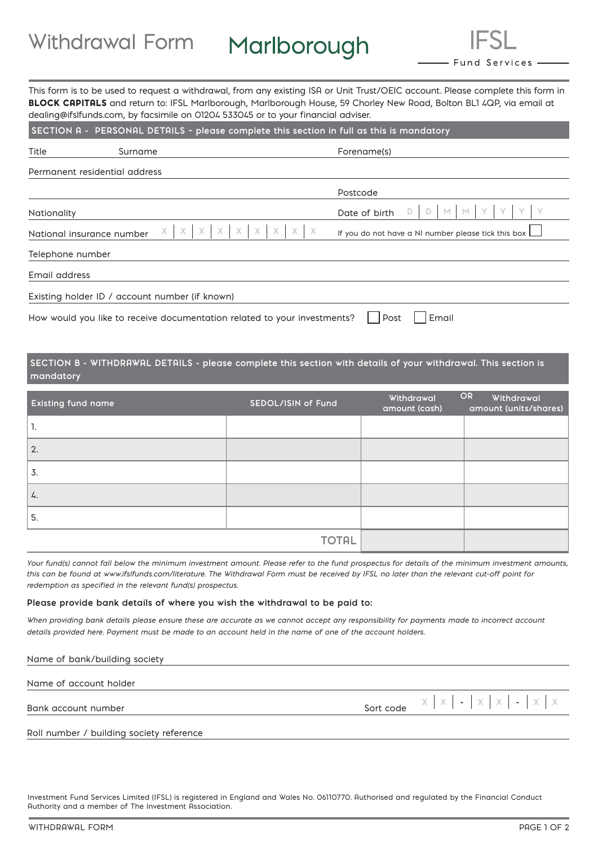Marlborough

- Fund Services -

This form is to be used to request a withdrawal, from any existing ISA or Unit Trust/OEIC account. Please complete this form in BLOCK CAPITALS and return to: IFSL Marlborough, Marlborough House, 59 Chorley New Road, Bolton BL1 4QP, via email at dealing@ifslfunds.com, by facsimile on 01204 533045 or to your financial adviser.

| SECTION A - PERSONAL DETAILS - please complete this section in full as this is mandatory |                                                                           |                                                                                                      |  |  |
|------------------------------------------------------------------------------------------|---------------------------------------------------------------------------|------------------------------------------------------------------------------------------------------|--|--|
| Title                                                                                    | Surname                                                                   | Forename(s)                                                                                          |  |  |
|                                                                                          | Permanent residential address                                             |                                                                                                      |  |  |
|                                                                                          |                                                                           | Postcode                                                                                             |  |  |
| <b>Nationality</b>                                                                       |                                                                           | M<br>Date of birth                                                                                   |  |  |
|                                                                                          | $\times$<br>$\times$<br>$\times$<br>$\times$<br>National insurance number | X<br> X <br>$\times$<br>$X -$<br>$\mathsf{X}$<br>If you do not have a NI number please tick this box |  |  |
| Telephone number                                                                         |                                                                           |                                                                                                      |  |  |
| Email address                                                                            |                                                                           |                                                                                                      |  |  |
|                                                                                          | Existing holder ID / account number (if known)                            |                                                                                                      |  |  |
|                                                                                          | How would you like to receive documentation related to your investments?  | Email<br>Post                                                                                        |  |  |

**SECTION B - WITHDRAWAL DETAILS - please complete this section with details of your withdrawal. This section is mandatory** 

| <b>Existing fund name</b> | SEDOL/ISIN of Fund | Withdrawal<br>amount (cash) | OR<br>Withdrawal<br>amount (units/shares) |
|---------------------------|--------------------|-----------------------------|-------------------------------------------|
|                           |                    |                             |                                           |
| 2.                        |                    |                             |                                           |
| 3.                        |                    |                             |                                           |
| 4.                        |                    |                             |                                           |
| 5.                        |                    |                             |                                           |
|                           | TOTAL              |                             |                                           |

*Your fund(s) cannot fall below the minimum investment amount. Please refer to the fund prospectus for details of the minimum investment amounts, this can be found at www.ifslfunds.com/literature. The Withdrawal Form must be received by IFSL no later than the relevant cut-off point for redemption as specified in the relevant fund(s) prospectus.*

### **Please provide bank details of where you wish the withdrawal to be paid to:**

*When providing bank details please ensure these are accurate as we cannot accept any responsibility for payments made to incorrect account details provided here. Payment must be made to an account held in the name of one of the account holders.*

| Name of bank/building society |                                                                |
|-------------------------------|----------------------------------------------------------------|
| Name of account holder        |                                                                |
| Bank account number           | Sort code $X \mid X \mid - \mid X \mid X \mid - \mid X \mid X$ |

Roll number / building society reference

Investment Fund Services Limited (IFSL) is registered in England and Wales No. 06110770. Authorised and regulated by the Financial Conduct Authority and a member of The Investment Association.